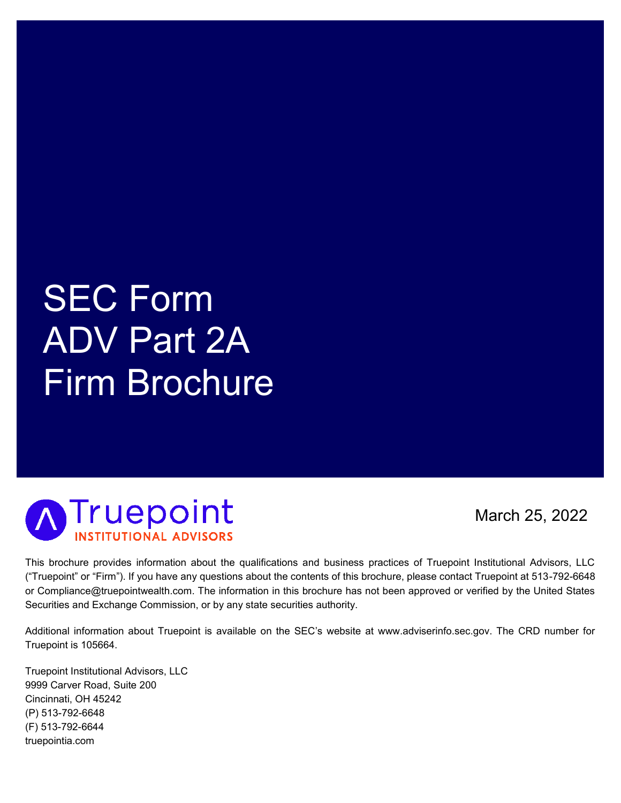# SEC Form ADV Part 2A Firm Brochure



March 25, 2022

This brochure provides information about the qualifications and business practices of Truepoint Institutional Advisors, LLC ("Truepoint" or "Firm"). If you have any questions about the contents of this brochure, please contact Truepoint at 513-792-6648 or Compliance@truepointwealth.com. The information in this brochure has not been approved or verified by the United States Securities and Exchange Commission, or by any state securities authority.

Additional information about Truepoint is available on the SEC's website at www.adviserinfo.sec.gov. The CRD number for Truepoint is 105664.

Truepoint Institutional Advisors, LLC 9999 Carver Road, Suite 200 Cincinnati, OH 45242 (P) 513-792-6648 (F) 513-792-6644 truepointia.com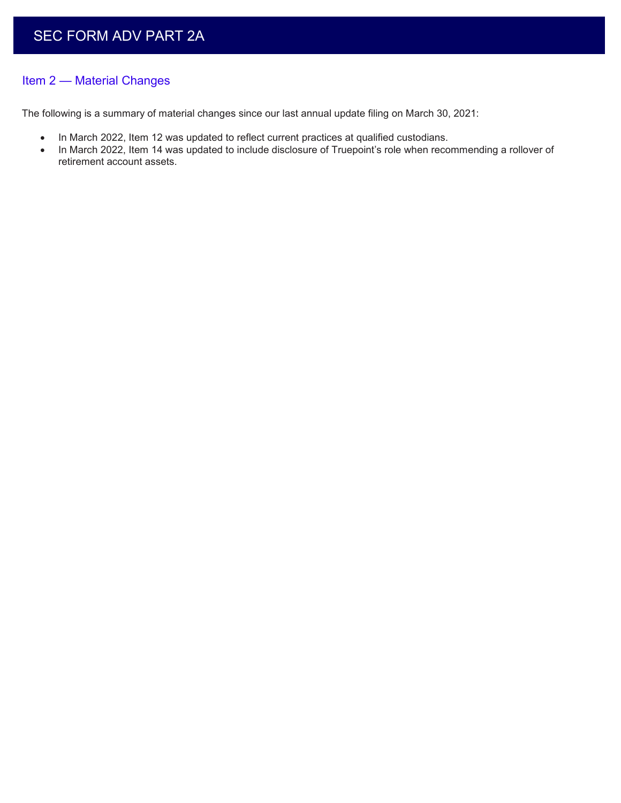## Item 2 — Material Changes

The following is a summary of material changes since our last annual update filing on March 30, 2021:

- In March 2022, Item 12 was updated to reflect current practices at qualified custodians.
- In March 2022, Item 14 was updated to include disclosure of Truepoint's role when recommending a rollover of retirement account assets.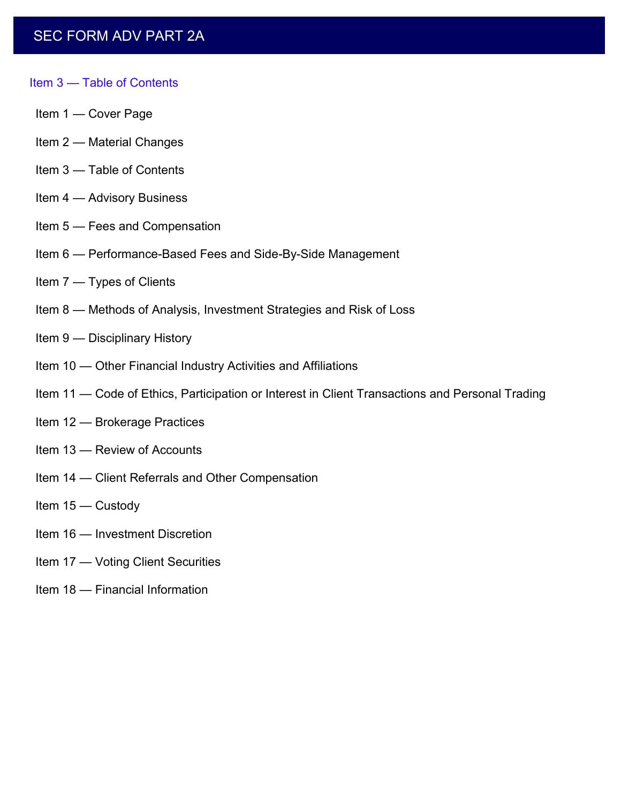## **SEC FORM ADV PART 2A**

#### Item 3 — Table of Contents

- Item 1 Cover Page
- Item 2 Material Changes
- Item 3 Table of Contents
- Item 4 Advisory Business
- Item 5 Fees and Compensation
- Item 6 Performance-Based Fees and Side-By-Side Management
- Item 7 Types of Clients
- Item 8 Methods of Analysis, Investment Strategies and Risk of Loss
- Item 9 Disciplinary History
- Item 10 Other Financial Industry Activities and Affiliations
- Item 11 Code of Ethics, Participation or Interest in Client Transactions and Personal Trading
- Item 12 Brokerage Practices
- Item 13 Review of Accounts
- Item 14 Client Referrals and Other Compensation
- Item 15 Custody
- Item 16 Investment Discretion
- Item 17 Voting Client Securities
- Item 18 Financial Information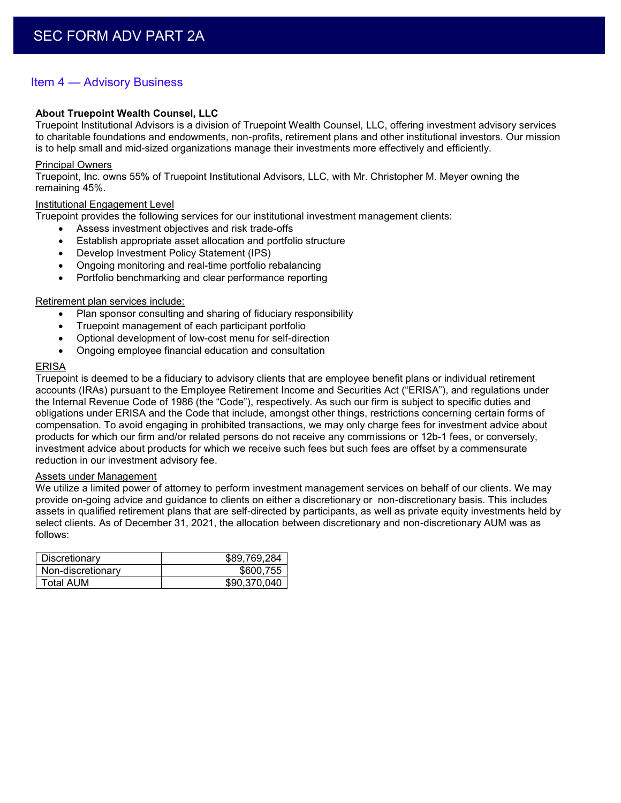## Item 4 — Advisory Business

#### **About Truepoint Wealth Counsel, LLC**

Truepoint Institutional Advisors is a division of Truepoint Wealth Counsel, LLC, offering investment advisory services to charitable foundations and endowments, non-profits, retirement plans and other institutional investors. Our mission is to help small and mid-sized organizations manage their investments more effectively and efficiently.

#### Principal Owners

Truepoint, Inc. owns 55% of Truepoint Institutional Advisors, LLC, with Mr. Christopher M. Meyer owning the remaining 45%.

#### Institutional Engagement Level

Truepoint provides the following services for our institutional investment management clients:

- Assess investment objectives and risk trade-offs
- Establish appropriate asset allocation and portfolio structure
- Develop Investment Policy Statement (IPS)
- Ongoing monitoring and real-time portfolio rebalancing
- Portfolio benchmarking and clear performance reporting

#### Retirement plan services include:

- Plan sponsor consulting and sharing of fiduciary responsibility
- Truepoint management of each participant portfolio
- Optional development of low-cost menu for self-direction
- Ongoing employee financial education and consultation

#### ERISA

Truepoint is deemed to be a fiduciary to advisory clients that are employee benefit plans or individual retirement accounts (IRAs) pursuant to the Employee Retirement Income and Securities Act ("ERISA"), and regulations under the Internal Revenue Code of 1986 (the "Code"), respectively. As such our firm is subject to specific duties and obligations under ERISA and the Code that include, amongst other things, restrictions concerning certain forms of compensation. To avoid engaging in prohibited transactions, we may only charge fees for investment advice about products for which our firm and/or related persons do not receive any commissions or 12b-1 fees, or conversely, investment advice about products for which we receive such fees but such fees are offset by a commensurate reduction in our investment advisory fee.

#### Assets under Management

We utilize a limited power of attorney to perform investment management services on behalf of our clients. We may provide on-going advice and guidance to clients on either a discretionary or non-discretionary basis. This includes assets in qualified retirement plans that are self-directed by participants, as well as private equity investments held by select clients. As of December 31, 2021, the allocation between discretionary and non-discretionary AUM was as follows:

| Discretionary     | \$89,769,284 |
|-------------------|--------------|
| Non-discretionary | \$600,755    |
| Total AUM         | \$90,370,040 |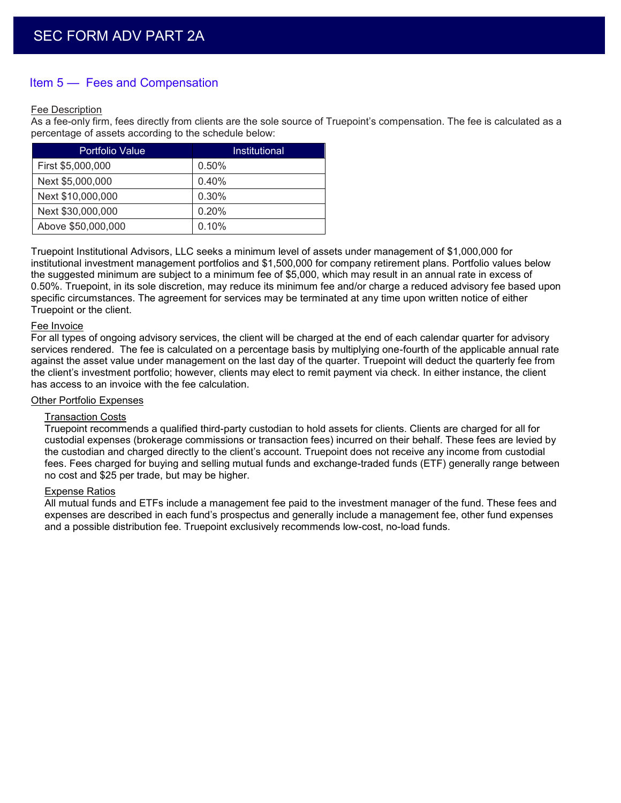## Item 5 — Fees and Compensation

#### Fee Description

As a fee-only firm, fees directly from clients are the sole source of Truepoint's compensation. The fee is calculated as a percentage of assets according to the schedule below:

| <b>Portfolio Value</b> | Institutional |
|------------------------|---------------|
| First \$5,000,000      | 0.50%         |
| Next \$5,000,000       | 0.40%         |
| Next \$10,000,000      | 0.30%         |
| Next \$30,000,000      | 0.20%         |
| Above \$50,000,000     | 0.10%         |

Truepoint Institutional Advisors, LLC seeks a minimum level of assets under management of \$1,000,000 for institutional investment management portfolios and \$1,500,000 for company retirement plans. Portfolio values below the suggested minimum are subject to a minimum fee of \$5,000, which may result in an annual rate in excess of 0.50%. Truepoint, in its sole discretion, may reduce its minimum fee and/or charge a reduced advisory fee based upon specific circumstances. The agreement for services may be terminated at any time upon written notice of either Truepoint or the client.

#### Fee Invoice

For all types of ongoing advisory services, the client will be charged at the end of each calendar quarter for advisory services rendered. The fee is calculated on a percentage basis by multiplying one-fourth of the applicable annual rate against the asset value under management on the last day of the quarter. Truepoint will deduct the quarterly fee from the client's investment portfolio; however, clients may elect to remit payment via check. In either instance, the client has access to an invoice with the fee calculation.

#### Other Portfolio Expenses

#### Transaction Costs

Truepoint recommends a qualified third-party custodian to hold assets for clients. Clients are charged for all for custodial expenses (brokerage commissions or transaction fees) incurred on their behalf. These fees are levied by the custodian and charged directly to the client's account. Truepoint does not receive any income from custodial fees. Fees charged for buying and selling mutual funds and exchange-traded funds (ETF) generally range between no cost and \$25 per trade, but may be higher.

#### Expense Ratios

All mutual funds and ETFs include a management fee paid to the investment manager of the fund. These fees and expenses are described in each fund's prospectus and generally include a management fee, other fund expenses and a possible distribution fee. Truepoint exclusively recommends low-cost, no-load funds.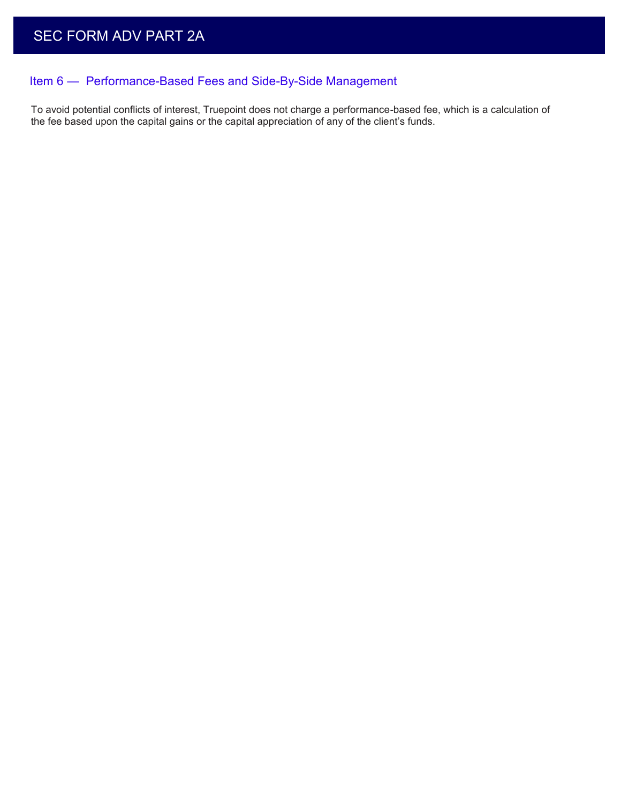# Item 6 — Performance-Based Fees and Side-By-Side Management

To avoid potential conflicts of interest, Truepoint does not charge a performance-based fee, which is a calculation of the fee based upon the capital gains or the capital appreciation of any of the client's funds.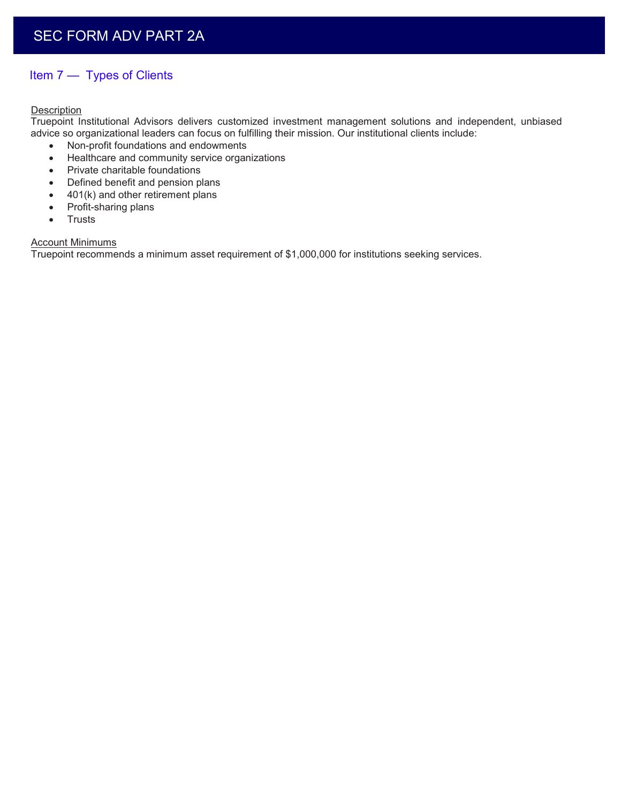## Item 7 — Types of Clients

#### **Description**

Truepoint Institutional Advisors delivers customized investment management solutions and independent, unbiased advice so organizational leaders can focus on fulfilling their mission. Our institutional clients include:

- Non-profit foundations and endowments
- Healthcare and community service organizations
- Private charitable foundations
- Defined benefit and pension plans
- 401(k) and other retirement plans
- Profit-sharing plans
- Trusts

#### **Account Minimums**

Truepoint recommends a minimum asset requirement of \$1,000,000 for institutions seeking services.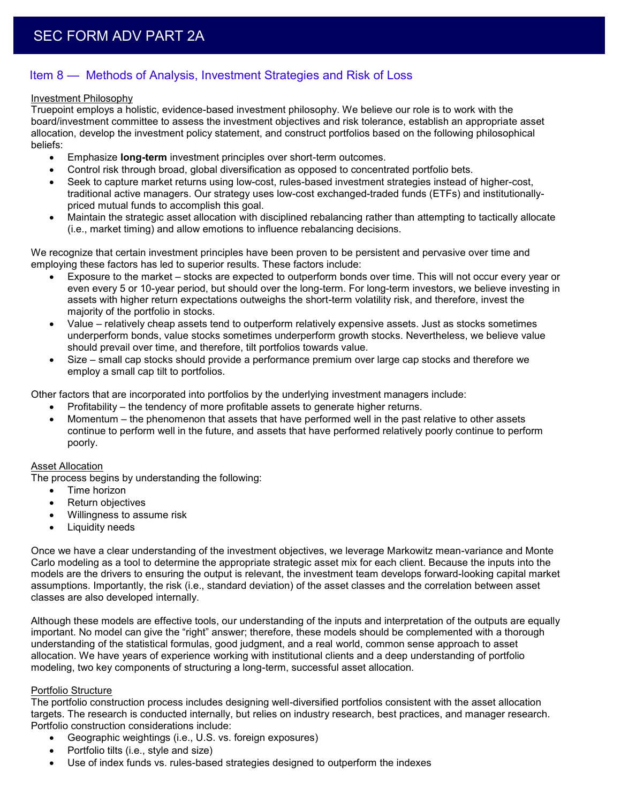## Item 8 — Methods of Analysis, Investment Strategies and Risk of Loss

#### Investment Philosophy

Truepoint employs a holistic, evidence-based investment philosophy. We believe our role is to work with the board/investment committee to assess the investment objectives and risk tolerance, establish an appropriate asset allocation, develop the investment policy statement, and construct portfolios based on the following philosophical beliefs:

- Emphasize **long-term** investment principles over short-term outcomes.
- Control risk through broad, global diversification as opposed to concentrated portfolio bets.
- Seek to capture market returns using low-cost, rules-based investment strategies instead of higher-cost, traditional active managers. Our strategy uses low-cost exchanged-traded funds (ETFs) and institutionallypriced mutual funds to accomplish this goal.
- Maintain the strategic asset allocation with disciplined rebalancing rather than attempting to tactically allocate (i.e., market timing) and allow emotions to influence rebalancing decisions.

We recognize that certain investment principles have been proven to be persistent and pervasive over time and employing these factors has led to superior results. These factors include:

- Exposure to the market stocks are expected to outperform bonds over time. This will not occur every year or even every 5 or 10-year period, but should over the long-term. For long-term investors, we believe investing in assets with higher return expectations outweighs the short-term volatility risk, and therefore, invest the majority of the portfolio in stocks.
- Value relatively cheap assets tend to outperform relatively expensive assets. Just as stocks sometimes underperform bonds, value stocks sometimes underperform growth stocks. Nevertheless, we believe value should prevail over time, and therefore, tilt portfolios towards value.
- Size small cap stocks should provide a performance premium over large cap stocks and therefore we employ a small cap tilt to portfolios.

Other factors that are incorporated into portfolios by the underlying investment managers include:

- Profitability the tendency of more profitable assets to generate higher returns.
- Momentum the phenomenon that assets that have performed well in the past relative to other assets continue to perform well in the future, and assets that have performed relatively poorly continue to perform poorly.

#### **Asset Allocation**

The process begins by understanding the following:

- Time horizon
- Return objectives
- Willingness to assume risk
- Liquidity needs

Once we have a clear understanding of the investment objectives, we leverage Markowitz mean-variance and Monte Carlo modeling as a tool to determine the appropriate strategic asset mix for each client. Because the inputs into the models are the drivers to ensuring the output is relevant, the investment team develops forward-looking capital market assumptions. Importantly, the risk (i.e., standard deviation) of the asset classes and the correlation between asset classes are also developed internally.

Although these models are effective tools, our understanding of the inputs and interpretation of the outputs are equally important. No model can give the "right" answer; therefore, these models should be complemented with a thorough understanding of the statistical formulas, good judgment, and a real world, common sense approach to asset allocation. We have years of experience working with institutional clients and a deep understanding of portfolio modeling, two key components of structuring a long-term, successful asset allocation.

#### Portfolio Structure

The portfolio construction process includes designing well-diversified portfolios consistent with the asset allocation targets. The research is conducted internally, but relies on industry research, best practices, and manager research. Portfolio construction considerations include:

- Geographic weightings (i.e., U.S. vs. foreign exposures)
- Portfolio tilts (i.e., style and size)
- Use of index funds vs. rules-based strategies designed to outperform the indexes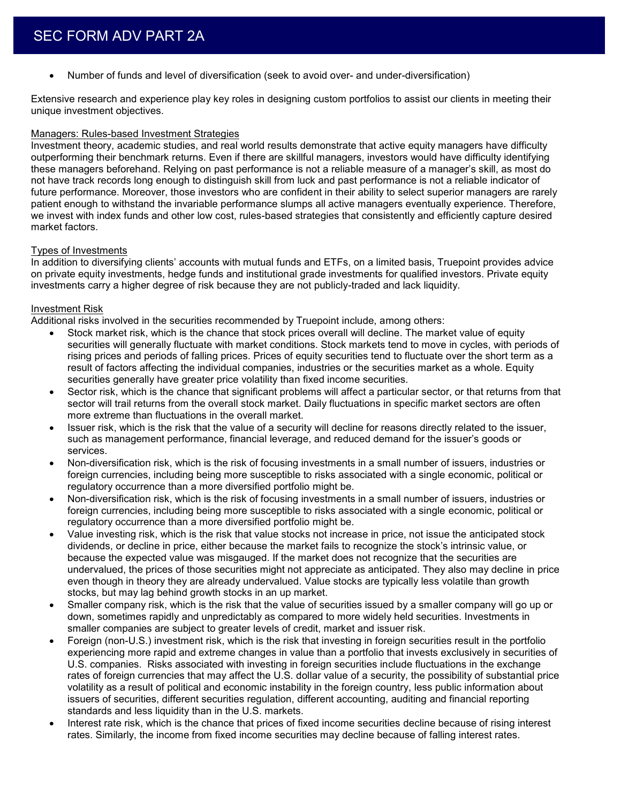Number of funds and level of diversification (seek to avoid over- and under-diversification)

Extensive research and experience play key roles in designing custom portfolios to assist our clients in meeting their unique investment objectives.

#### Managers: Rules-based Investment Strategies

Investment theory, academic studies, and real world results demonstrate that active equity managers have difficulty outperforming their benchmark returns. Even if there are skillful managers, investors would have difficulty identifying these managers beforehand. Relying on past performance is not a reliable measure of a manager's skill, as most do not have track records long enough to distinguish skill from luck and past performance is not a reliable indicator of future performance. Moreover, those investors who are confident in their ability to select superior managers are rarely patient enough to withstand the invariable performance slumps all active managers eventually experience. Therefore, we invest with index funds and other low cost, rules-based strategies that consistently and efficiently capture desired market factors.

#### Types of Investments

In addition to diversifying clients' accounts with mutual funds and ETFs, on a limited basis, Truepoint provides advice on private equity investments, hedge funds and institutional grade investments for qualified investors. Private equity investments carry a higher degree of risk because they are not publicly-traded and lack liquidity.

#### Investment Risk

Additional risks involved in the securities recommended by Truepoint include, among others:

- Stock market risk, which is the chance that stock prices overall will decline. The market value of equity securities will generally fluctuate with market conditions. Stock markets tend to move in cycles, with periods of rising prices and periods of falling prices. Prices of equity securities tend to fluctuate over the short term as a result of factors affecting the individual companies, industries or the securities market as a whole. Equity securities generally have greater price volatility than fixed income securities.
- Sector risk, which is the chance that significant problems will affect a particular sector, or that returns from that sector will trail returns from the overall stock market. Daily fluctuations in specific market sectors are often more extreme than fluctuations in the overall market.
- Issuer risk, which is the risk that the value of a security will decline for reasons directly related to the issuer, such as management performance, financial leverage, and reduced demand for the issuer's goods or services.
- Non-diversification risk, which is the risk of focusing investments in a small number of issuers, industries or foreign currencies, including being more susceptible to risks associated with a single economic, political or regulatory occurrence than a more diversified portfolio might be.
- Non-diversification risk, which is the risk of focusing investments in a small number of issuers, industries or foreign currencies, including being more susceptible to risks associated with a single economic, political or regulatory occurrence than a more diversified portfolio might be.
- Value investing risk, which is the risk that value stocks not increase in price, not issue the anticipated stock dividends, or decline in price, either because the market fails to recognize the stock's intrinsic value, or because the expected value was misgauged. If the market does not recognize that the securities are undervalued, the prices of those securities might not appreciate as anticipated. They also may decline in price even though in theory they are already undervalued. Value stocks are typically less volatile than growth stocks, but may lag behind growth stocks in an up market.
- Smaller company risk, which is the risk that the value of securities issued by a smaller company will go up or down, sometimes rapidly and unpredictably as compared to more widely held securities. Investments in smaller companies are subject to greater levels of credit, market and issuer risk.
- Foreign (non-U.S.) investment risk, which is the risk that investing in foreign securities result in the portfolio experiencing more rapid and extreme changes in value than a portfolio that invests exclusively in securities of U.S. companies. Risks associated with investing in foreign securities include fluctuations in the exchange rates of foreign currencies that may affect the U.S. dollar value of a security, the possibility of substantial price volatility as a result of political and economic instability in the foreign country, less public information about issuers of securities, different securities regulation, different accounting, auditing and financial reporting standards and less liquidity than in the U.S. markets.
- Interest rate risk, which is the chance that prices of fixed income securities decline because of rising interest rates. Similarly, the income from fixed income securities may decline because of falling interest rates.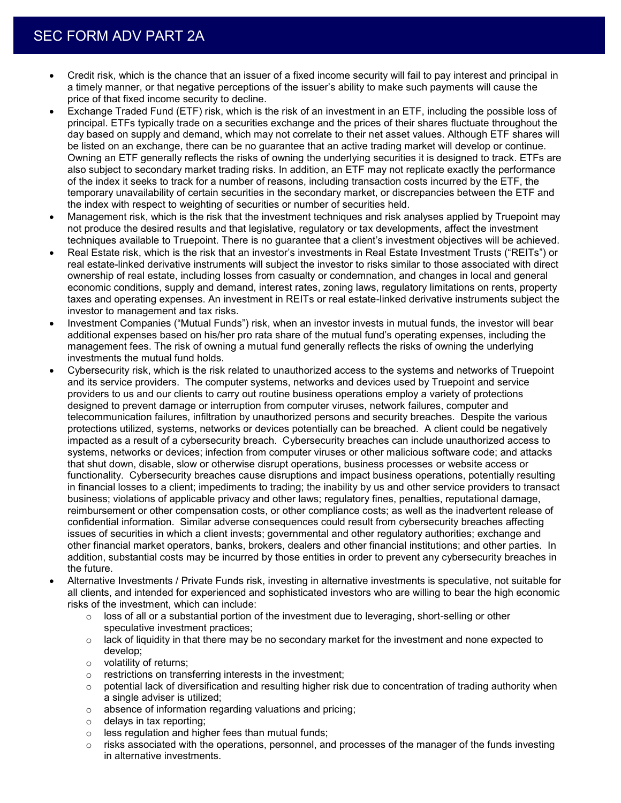- Credit risk, which is the chance that an issuer of a fixed income security will fail to pay interest and principal in a timely manner, or that negative perceptions of the issuer's ability to make such payments will cause the price of that fixed income security to decline.
- Exchange Traded Fund (ETF) risk, which is the risk of an investment in an ETF, including the possible loss of principal. ETFs typically trade on a securities exchange and the prices of their shares fluctuate throughout the day based on supply and demand, which may not correlate to their net asset values. Although ETF shares will be listed on an exchange, there can be no guarantee that an active trading market will develop or continue. Owning an ETF generally reflects the risks of owning the underlying securities it is designed to track. ETFs are also subject to secondary market trading risks. In addition, an ETF may not replicate exactly the performance of the index it seeks to track for a number of reasons, including transaction costs incurred by the ETF, the temporary unavailability of certain securities in the secondary market, or discrepancies between the ETF and the index with respect to weighting of securities or number of securities held.
- Management risk, which is the risk that the investment techniques and risk analyses applied by Truepoint may not produce the desired results and that legislative, regulatory or tax developments, affect the investment techniques available to Truepoint. There is no guarantee that a client's investment objectives will be achieved.
- Real Estate risk, which is the risk that an investor's investments in Real Estate Investment Trusts ("REITs") or real estate-linked derivative instruments will subject the investor to risks similar to those associated with direct ownership of real estate, including losses from casualty or condemnation, and changes in local and general economic conditions, supply and demand, interest rates, zoning laws, regulatory limitations on rents, property taxes and operating expenses. An investment in REITs or real estate-linked derivative instruments subject the investor to management and tax risks.
- Investment Companies ("Mutual Funds") risk, when an investor invests in mutual funds, the investor will bear additional expenses based on his/her pro rata share of the mutual fund's operating expenses, including the management fees. The risk of owning a mutual fund generally reflects the risks of owning the underlying investments the mutual fund holds.
- Cybersecurity risk, which is the risk related to unauthorized access to the systems and networks of Truepoint and its service providers. The computer systems, networks and devices used by Truepoint and service providers to us and our clients to carry out routine business operations employ a variety of protections designed to prevent damage or interruption from computer viruses, network failures, computer and telecommunication failures, infiltration by unauthorized persons and security breaches. Despite the various protections utilized, systems, networks or devices potentially can be breached. A client could be negatively impacted as a result of a cybersecurity breach. Cybersecurity breaches can include unauthorized access to systems, networks or devices; infection from computer viruses or other malicious software code; and attacks that shut down, disable, slow or otherwise disrupt operations, business processes or website access or functionality. Cybersecurity breaches cause disruptions and impact business operations, potentially resulting in financial losses to a client; impediments to trading; the inability by us and other service providers to transact business; violations of applicable privacy and other laws; regulatory fines, penalties, reputational damage, reimbursement or other compensation costs, or other compliance costs; as well as the inadvertent release of confidential information. Similar adverse consequences could result from cybersecurity breaches affecting issues of securities in which a client invests; governmental and other regulatory authorities; exchange and other financial market operators, banks, brokers, dealers and other financial institutions; and other parties. In addition, substantial costs may be incurred by those entities in order to prevent any cybersecurity breaches in the future.
- Alternative Investments / Private Funds risk, investing in alternative investments is speculative, not suitable for all clients, and intended for experienced and sophisticated investors who are willing to bear the high economic risks of the investment, which can include:
	- $\circ$  loss of all or a substantial portion of the investment due to leveraging, short-selling or other speculative investment practices;
	- $\circ$  lack of liquidity in that there may be no secondary market for the investment and none expected to develop;
	- o volatility of returns;
	- o restrictions on transferring interests in the investment;
	- o potential lack of diversification and resulting higher risk due to concentration of trading authority when a single adviser is utilized;
	- o absence of information regarding valuations and pricing;
	- o delays in tax reporting;
	- o less regulation and higher fees than mutual funds;
	- o risks associated with the operations, personnel, and processes of the manager of the funds investing in alternative investments.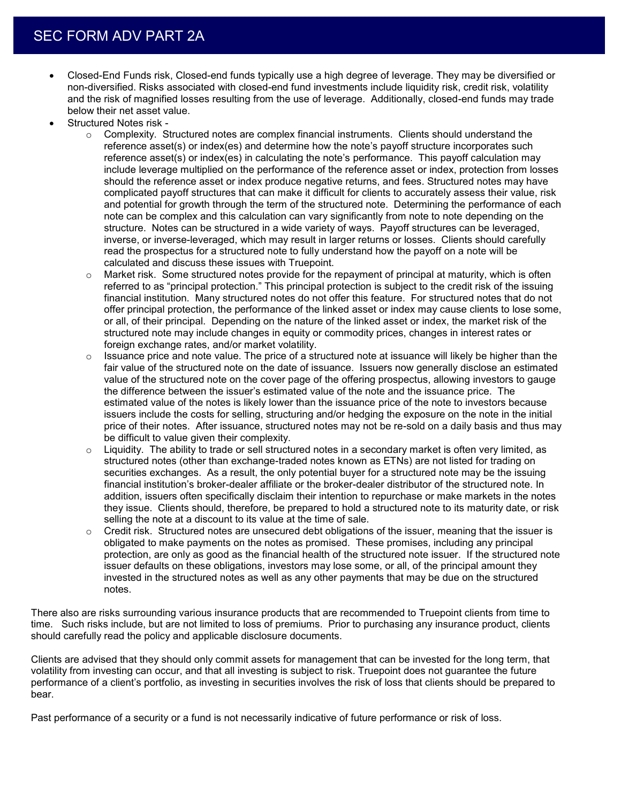- Closed-End Funds risk, Closed-end funds typically use a high degree of leverage. They may be diversified or non-diversified. Risks associated with closed-end fund investments include liquidity risk, credit risk, volatility and the risk of magnified losses resulting from the use of leverage. Additionally, closed-end funds may trade below their net asset value.
- Structured Notes risk
	- $\circ$  Complexity. Structured notes are complex financial instruments. Clients should understand the reference asset(s) or index(es) and determine how the note's payoff structure incorporates such reference asset(s) or index(es) in calculating the note's performance. This payoff calculation may include leverage multiplied on the performance of the reference asset or index, protection from losses should the reference asset or index produce negative returns, and fees. Structured notes may have complicated payoff structures that can make it difficult for clients to accurately assess their value, risk and potential for growth through the term of the structured note. Determining the performance of each note can be complex and this calculation can vary significantly from note to note depending on the structure. Notes can be structured in a wide variety of ways. Payoff structures can be leveraged, inverse, or inverse-leveraged, which may result in larger returns or losses. Clients should carefully read the prospectus for a structured note to fully understand how the payoff on a note will be calculated and discuss these issues with Truepoint.
	- Market risk. Some structured notes provide for the repayment of principal at maturity, which is often referred to as "principal protection." This principal protection is subject to the credit risk of the issuing financial institution. Many structured notes do not offer this feature. For structured notes that do not offer principal protection, the performance of the linked asset or index may cause clients to lose some, or all, of their principal. Depending on the nature of the linked asset or index, the market risk of the structured note may include changes in equity or commodity prices, changes in interest rates or foreign exchange rates, and/or market volatility.
	- $\circ$  Issuance price and note value. The price of a structured note at issuance will likely be higher than the fair value of the structured note on the date of issuance. Issuers now generally disclose an estimated value of the structured note on the cover page of the offering prospectus, allowing investors to gauge the difference between the issuer's estimated value of the note and the issuance price. The estimated value of the notes is likely lower than the issuance price of the note to investors because issuers include the costs for selling, structuring and/or hedging the exposure on the note in the initial price of their notes. After issuance, structured notes may not be re-sold on a daily basis and thus may be difficult to value given their complexity.
	- $\circ$  Liquidity. The ability to trade or sell structured notes in a secondary market is often very limited, as structured notes (other than exchange-traded notes known as ETNs) are not listed for trading on securities exchanges. As a result, the only potential buyer for a structured note may be the issuing financial institution's broker-dealer affiliate or the broker-dealer distributor of the structured note. In addition, issuers often specifically disclaim their intention to repurchase or make markets in the notes they issue. Clients should, therefore, be prepared to hold a structured note to its maturity date, or risk selling the note at a discount to its value at the time of sale.
	- $\circ$  Credit risk. Structured notes are unsecured debt obligations of the issuer, meaning that the issuer is obligated to make payments on the notes as promised. These promises, including any principal protection, are only as good as the financial health of the structured note issuer. If the structured note issuer defaults on these obligations, investors may lose some, or all, of the principal amount they invested in the structured notes as well as any other payments that may be due on the structured notes.

There also are risks surrounding various insurance products that are recommended to Truepoint clients from time to time. Such risks include, but are not limited to loss of premiums. Prior to purchasing any insurance product, clients should carefully read the policy and applicable disclosure documents.

Clients are advised that they should only commit assets for management that can be invested for the long term, that volatility from investing can occur, and that all investing is subject to risk. Truepoint does not guarantee the future performance of a client's portfolio, as investing in securities involves the risk of loss that clients should be prepared to bear.

Past performance of a security or a fund is not necessarily indicative of future performance or risk of loss.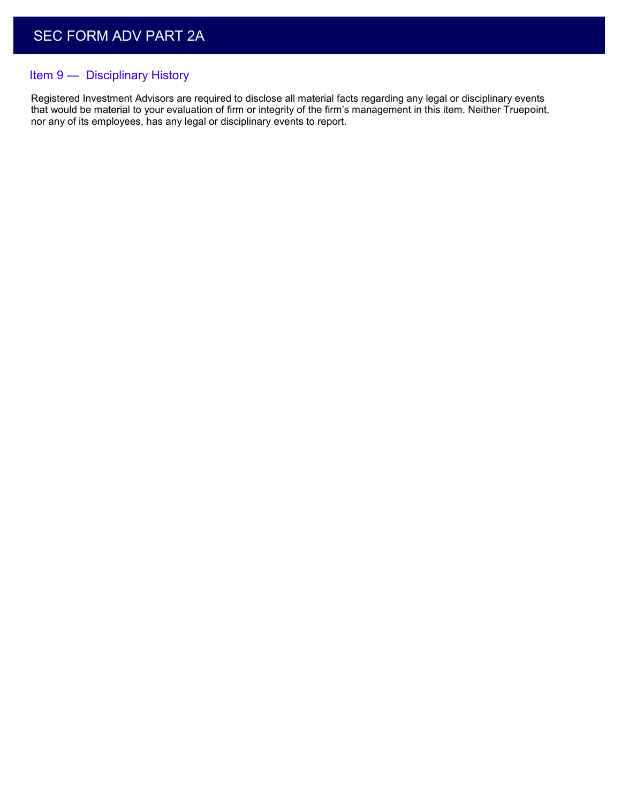## Item 9 — Disciplinary History

Registered Investment Advisors are required to disclose all material facts regarding any legal or disciplinary events that would be material to your evaluation of firm or integrity of the firm's management in this item. Neither Truepoint, nor any of its employees, has any legal or disciplinary events to report.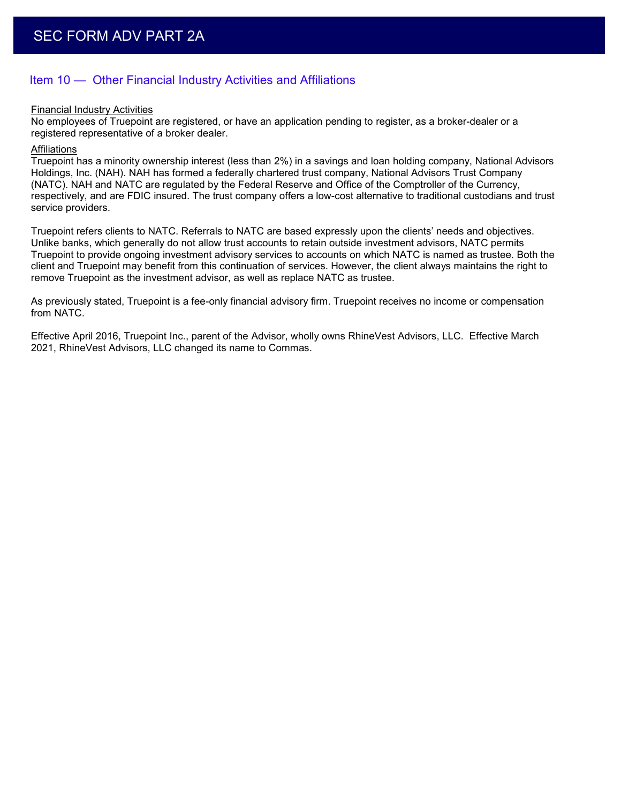## Item 10 — Other Financial Industry Activities and Affiliations

#### Financial Industry Activities

No employees of Truepoint are registered, or have an application pending to register, as a broker-dealer or a registered representative of a broker dealer.

#### **Affiliations**

Truepoint has a minority ownership interest (less than 2%) in a savings and loan holding company, National Advisors Holdings, Inc. (NAH). NAH has formed a federally chartered trust company, National Advisors Trust Company (NATC). NAH and NATC are regulated by the Federal Reserve and Office of the Comptroller of the Currency, respectively, and are FDIC insured. The trust company offers a low-cost alternative to traditional custodians and trust service providers.

Truepoint refers clients to NATC. Referrals to NATC are based expressly upon the clients' needs and objectives. Unlike banks, which generally do not allow trust accounts to retain outside investment advisors, NATC permits Truepoint to provide ongoing investment advisory services to accounts on which NATC is named as trustee. Both the client and Truepoint may benefit from this continuation of services. However, the client always maintains the right to remove Truepoint as the investment advisor, as well as replace NATC as trustee.

As previously stated, Truepoint is a fee-only financial advisory firm. Truepoint receives no income or compensation from NATC.

Effective April 2016, Truepoint Inc., parent of the Advisor, wholly owns RhineVest Advisors, LLC. Effective March 2021, RhineVest Advisors, LLC changed its name to Commas.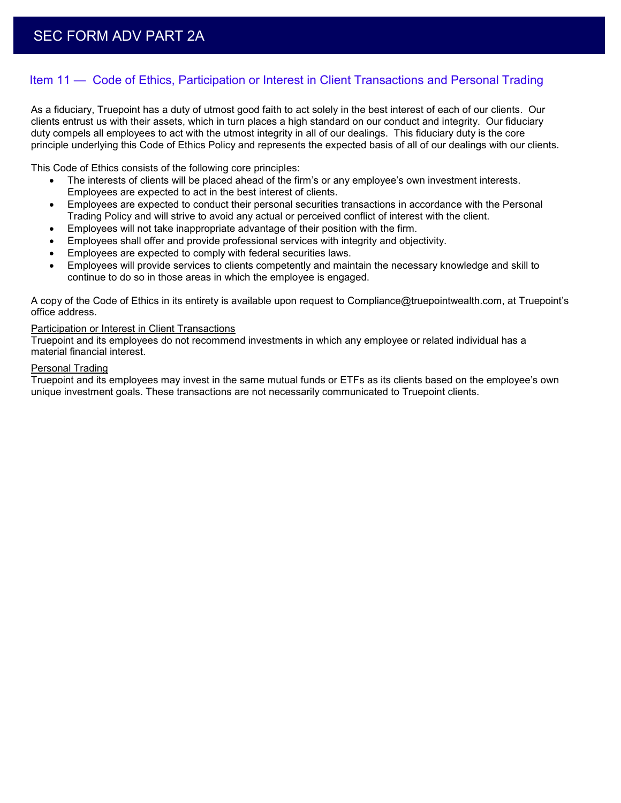## Item 11 — Code of Ethics, Participation or Interest in Client Transactions and Personal Trading

As a fiduciary, Truepoint has a duty of utmost good faith to act solely in the best interest of each of our clients. Our clients entrust us with their assets, which in turn places a high standard on our conduct and integrity. Our fiduciary duty compels all employees to act with the utmost integrity in all of our dealings. This fiduciary duty is the core principle underlying this Code of Ethics Policy and represents the expected basis of all of our dealings with our clients.

This Code of Ethics consists of the following core principles:

- The interests of clients will be placed ahead of the firm's or any employee's own investment interests. Employees are expected to act in the best interest of clients.
- Employees are expected to conduct their personal securities transactions in accordance with the Personal Trading Policy and will strive to avoid any actual or perceived conflict of interest with the client.
- Employees will not take inappropriate advantage of their position with the firm.
- Employees shall offer and provide professional services with integrity and objectivity.
- Employees are expected to comply with federal securities laws.
- Employees will provide services to clients competently and maintain the necessary knowledge and skill to continue to do so in those areas in which the employee is engaged.

A copy of the Code of Ethics in its entirety is available upon request to Compliance@truepointwealth.com, at Truepoint's office address.

#### Participation or Interest in Client Transactions

Truepoint and its employees do not recommend investments in which any employee or related individual has a material financial interest.

#### Personal Trading

Truepoint and its employees may invest in the same mutual funds or ETFs as its clients based on the employee's own unique investment goals. These transactions are not necessarily communicated to Truepoint clients.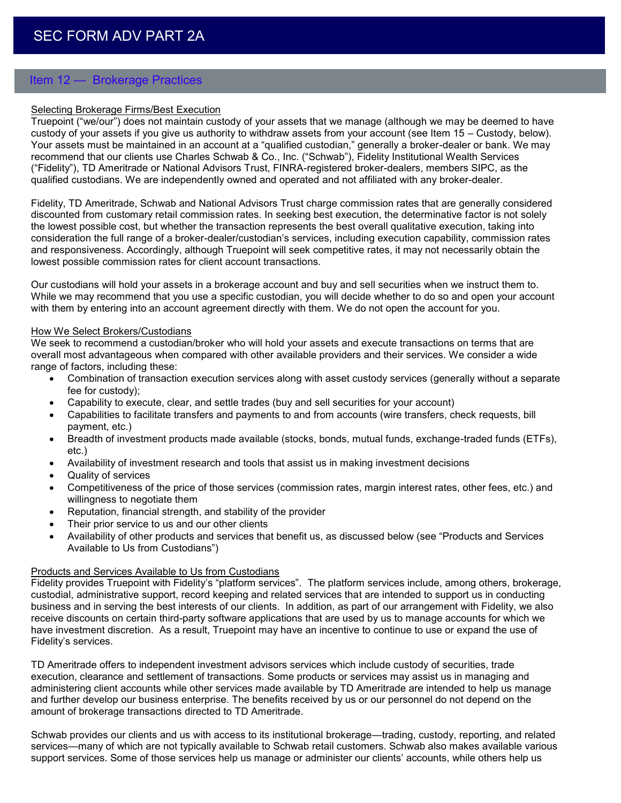## Item 12 — Brokerage Practices

#### Selecting Brokerage Firms/Best Execution

Truepoint ("we/our") does not maintain custody of your assets that we manage (although we may be deemed to have custody of your assets if you give us authority to withdraw assets from your account (see Item 15 – Custody, below). Your assets must be maintained in an account at a "qualified custodian," generally a broker-dealer or bank. We may recommend that our clients use Charles Schwab & Co., Inc. ("Schwab"), Fidelity Institutional Wealth Services ("Fidelity"), TD Ameritrade or National Advisors Trust, FINRA-registered broker-dealers, members SIPC, as the qualified custodians. We are independently owned and operated and not affiliated with any broker-dealer.

Fidelity, TD Ameritrade, Schwab and National Advisors Trust charge commission rates that are generally considered discounted from customary retail commission rates. In seeking best execution, the determinative factor is not solely the lowest possible cost, but whether the transaction represents the best overall qualitative execution, taking into consideration the full range of a broker-dealer/custodian's services, including execution capability, commission rates and responsiveness. Accordingly, although Truepoint will seek competitive rates, it may not necessarily obtain the lowest possible commission rates for client account transactions.

Our custodians will hold your assets in a brokerage account and buy and sell securities when we instruct them to. While we may recommend that you use a specific custodian, you will decide whether to do so and open your account with them by entering into an account agreement directly with them. We do not open the account for you.

#### How We Select Brokers/Custodians

We seek to recommend a custodian/broker who will hold your assets and execute transactions on terms that are overall most advantageous when compared with other available providers and their services. We consider a wide range of factors, including these:

- Combination of transaction execution services along with asset custody services (generally without a separate fee for custody);
- Capability to execute, clear, and settle trades (buy and sell securities for your account)
- Capabilities to facilitate transfers and payments to and from accounts (wire transfers, check requests, bill payment, etc.)
- Breadth of investment products made available (stocks, bonds, mutual funds, exchange-traded funds (ETFs), etc.)
- Availability of investment research and tools that assist us in making investment decisions
- Quality of services
- Competitiveness of the price of those services (commission rates, margin interest rates, other fees, etc.) and willingness to negotiate them
- Reputation, financial strength, and stability of the provider
- Their prior service to us and our other clients
- Availability of other products and services that benefit us, as discussed below (see "Products and Services Available to Us from Custodians")

#### Products and Services Available to Us from Custodians

Fidelity provides Truepoint with Fidelity's "platform services". The platform services include, among others, brokerage, custodial, administrative support, record keeping and related services that are intended to support us in conducting business and in serving the best interests of our clients. In addition, as part of our arrangement with Fidelity, we also receive discounts on certain third-party software applications that are used by us to manage accounts for which we have investment discretion. As a result, Truepoint may have an incentive to continue to use or expand the use of Fidelity's services.

TD Ameritrade offers to independent investment advisors services which include custody of securities, trade execution, clearance and settlement of transactions. Some products or services may assist us in managing and administering client accounts while other services made available by TD Ameritrade are intended to help us manage and further develop our business enterprise. The benefits received by us or our personnel do not depend on the amount of brokerage transactions directed to TD Ameritrade.

Schwab provides our clients and us with access to its institutional brokerage—trading, custody, reporting, and related services—many of which are not typically available to Schwab retail customers. Schwab also makes available various support services. Some of those services help us manage or administer our clients' accounts, while others help us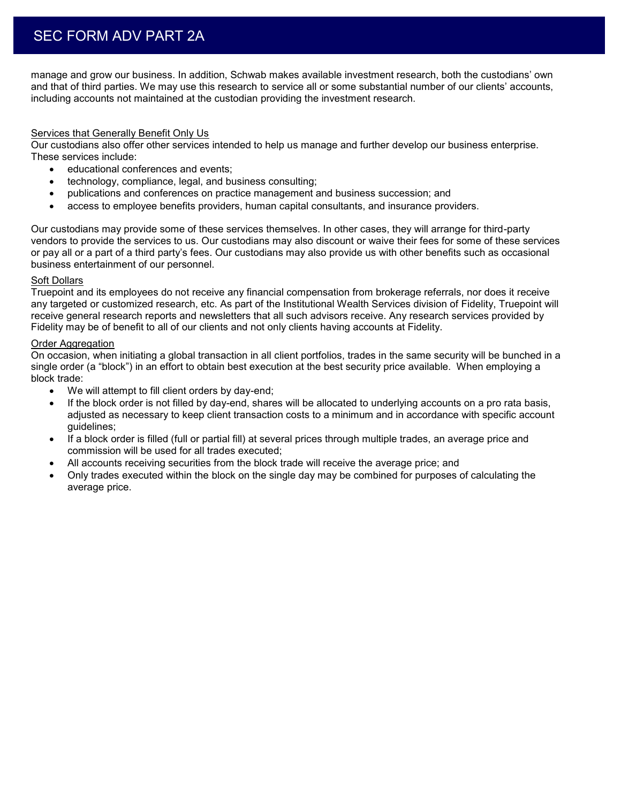# SEC FORM ADV PART 2A

manage and grow our business. In addition, Schwab makes available investment research, both the custodians' own and that of third parties. We may use this research to service all or some substantial number of our clients' accounts, including accounts not maintained at the custodian providing the investment research.

#### Services that Generally Benefit Only Us

Our custodians also offer other services intended to help us manage and further develop our business enterprise. These services include:

- **educational conferences and events;**
- technology, compliance, legal, and business consulting;
- publications and conferences on practice management and business succession; and
- access to employee benefits providers, human capital consultants, and insurance providers.

Our custodians may provide some of these services themselves. In other cases, they will arrange for third-party vendors to provide the services to us. Our custodians may also discount or waive their fees for some of these services or pay all or a part of a third party's fees. Our custodians may also provide us with other benefits such as occasional business entertainment of our personnel.

#### Soft Dollars

Truepoint and its employees do not receive any financial compensation from brokerage referrals, nor does it receive any targeted or customized research, etc. As part of the Institutional Wealth Services division of Fidelity, Truepoint will receive general research reports and newsletters that all such advisors receive. Any research services provided by Fidelity may be of benefit to all of our clients and not only clients having accounts at Fidelity.

#### Order Aggregation

On occasion, when initiating a global transaction in all client portfolios, trades in the same security will be bunched in a single order (a "block") in an effort to obtain best execution at the best security price available. When employing a block trade:

- We will attempt to fill client orders by day-end;
- If the block order is not filled by day-end, shares will be allocated to underlying accounts on a pro rata basis, adjusted as necessary to keep client transaction costs to a minimum and in accordance with specific account guidelines;
- If a block order is filled (full or partial fill) at several prices through multiple trades, an average price and commission will be used for all trades executed;
- All accounts receiving securities from the block trade will receive the average price; and
- Only trades executed within the block on the single day may be combined for purposes of calculating the average price.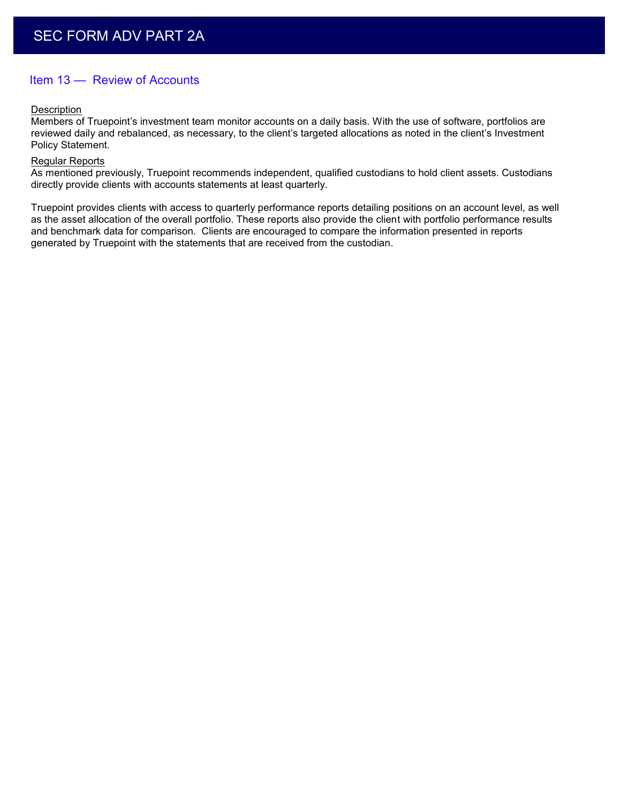## Item 13 — Review of Accounts

#### **Description**

Members of Truepoint's investment team monitor accounts on a daily basis. With the use of software, portfolios are reviewed daily and rebalanced, as necessary, to the client's targeted allocations as noted in the client's Investment Policy Statement.

#### Regular Reports

As mentioned previously, Truepoint recommends independent, qualified custodians to hold client assets. Custodians directly provide clients with accounts statements at least quarterly.

Truepoint provides clients with access to quarterly performance reports detailing positions on an account level, as well as the asset allocation of the overall portfolio. These reports also provide the client with portfolio performance results and benchmark data for comparison. Clients are encouraged to compare the information presented in reports generated by Truepoint with the statements that are received from the custodian.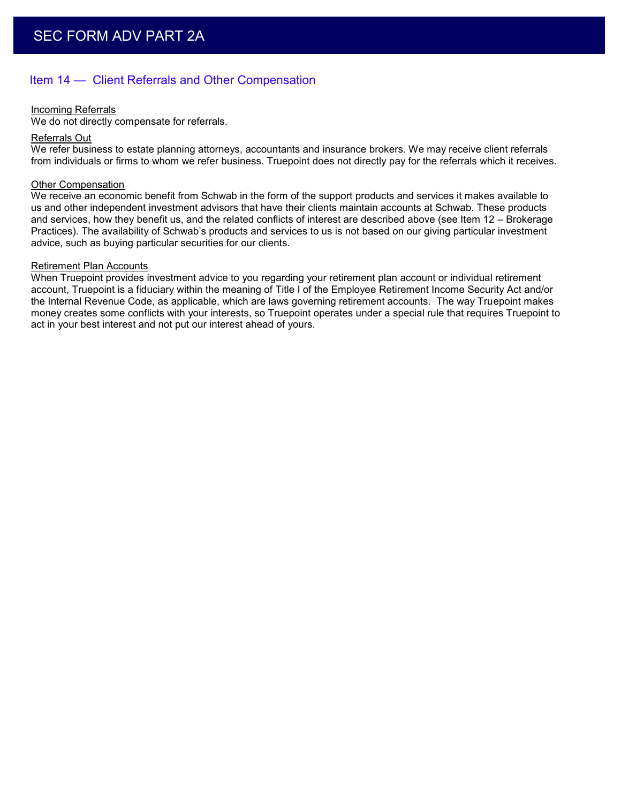## Item 14 — Client Referrals and Other Compensation

#### Incoming Referrals

We do not directly compensate for referrals.

#### Referrals Out

We refer business to estate planning attorneys, accountants and insurance brokers. We may receive client referrals from individuals or firms to whom we refer business. Truepoint does not directly pay for the referrals which it receives.

#### Other Compensation

We receive an economic benefit from Schwab in the form of the support products and services it makes available to us and other independent investment advisors that have their clients maintain accounts at Schwab. These products and services, how they benefit us, and the related conflicts of interest are described above (see Item 12 – Brokerage Practices). The availability of Schwab's products and services to us is not based on our giving particular investment advice, such as buying particular securities for our clients.

#### Retirement Plan Accounts

When Truepoint provides investment advice to you regarding your retirement plan account or individual retirement account, Truepoint is a fiduciary within the meaning of Title I of the Employee Retirement Income Security Act and/or the Internal Revenue Code, as applicable, which are laws governing retirement accounts. The way Truepoint makes money creates some conflicts with your interests, so Truepoint operates under a special rule that requires Truepoint to act in your best interest and not put our interest ahead of yours.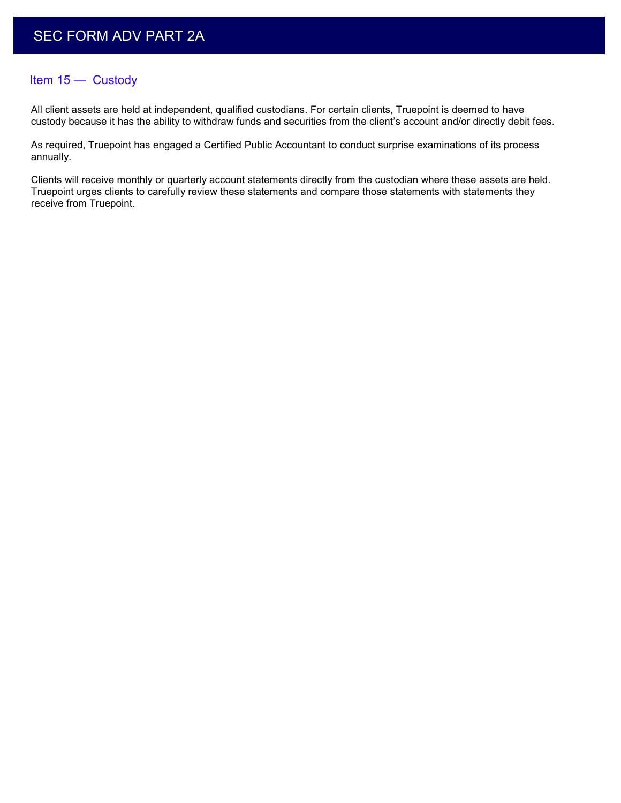### Item 15 — Custody

All client assets are held at independent, qualified custodians. For certain clients, Truepoint is deemed to have custody because it has the ability to withdraw funds and securities from the client's account and/or directly debit fees.

As required, Truepoint has engaged a Certified Public Accountant to conduct surprise examinations of its process annually.

Clients will receive monthly or quarterly account statements directly from the custodian where these assets are held. Truepoint urges clients to carefully review these statements and compare those statements with statements they receive from Truepoint.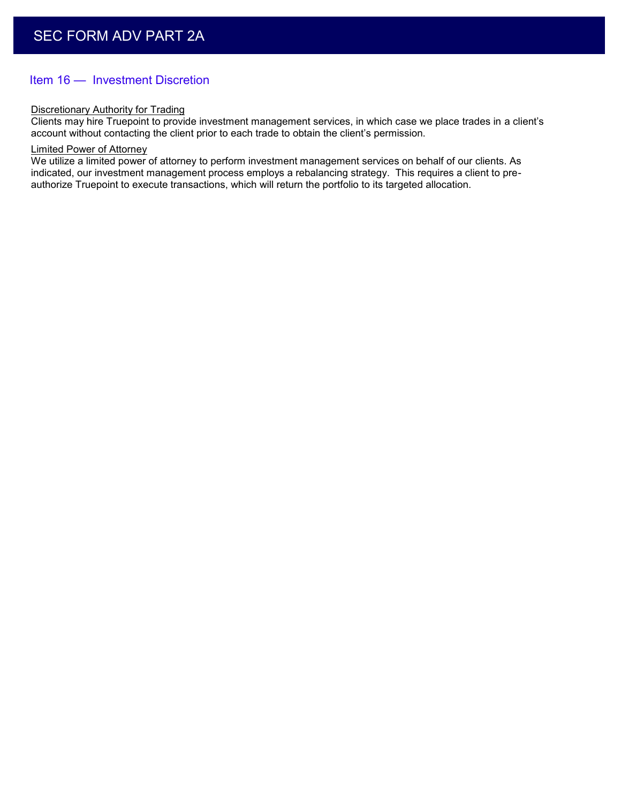## Item 16 — Investment Discretion

#### Discretionary Authority for Trading

Clients may hire Truepoint to provide investment management services, in which case we place trades in a client's account without contacting the client prior to each trade to obtain the client's permission.

#### Limited Power of Attorney

We utilize a limited power of attorney to perform investment management services on behalf of our clients. As indicated, our investment management process employs a rebalancing strategy. This requires a client to preauthorize Truepoint to execute transactions, which will return the portfolio to its targeted allocation.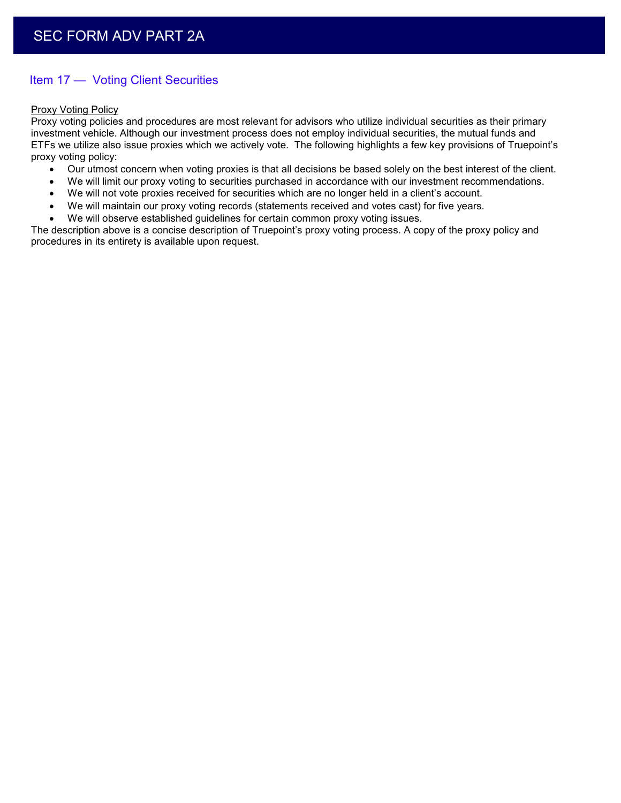## Item 17 — Voting Client Securities

#### Proxy Voting Policy

Proxy voting policies and procedures are most relevant for advisors who utilize individual securities as their primary investment vehicle. Although our investment process does not employ individual securities, the mutual funds and ETFs we utilize also issue proxies which we actively vote. The following highlights a few key provisions of Truepoint's proxy voting policy:

- Our utmost concern when voting proxies is that all decisions be based solely on the best interest of the client.
- We will limit our proxy voting to securities purchased in accordance with our investment recommendations.
- We will not vote proxies received for securities which are no longer held in a client's account.
- We will maintain our proxy voting records (statements received and votes cast) for five years.
- We will observe established guidelines for certain common proxy voting issues.

The description above is a concise description of Truepoint's proxy voting process. A copy of the proxy policy and procedures in its entirety is available upon request.